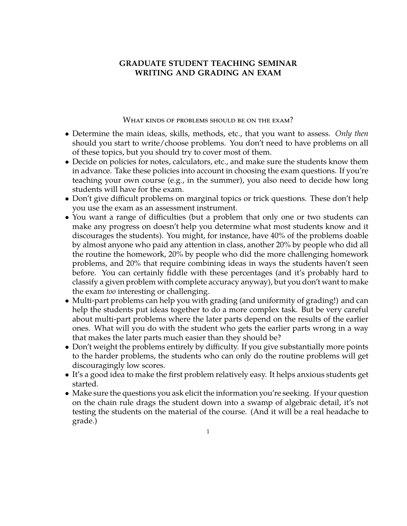# **GRADUATE STUDENT TEACHING SEMINAR WRITING AND GRADING AN EXAM**

#### WHAT KINDS OF PROBLEMS SHOULD BE ON THE EXAM?

- Determine the main ideas, skills, methods, etc., that you want to assess. *Only then* should you start to write/choose problems. You don't need to have problems on all of these topics, but you should try to cover most of them.
- Decide on policies for notes, calculators, etc., and make sure the students know them in advance. Take these policies into account in choosing the exam questions. If you're teaching your own course (e.g., in the summer), you also need to decide how long students will have for the exam.
- Don't give difficult problems on marginal topics or trick questions. These don't help you use the exam as an assessment instrument.
- You want a range of difficulties (but a problem that only one or two students can make any progress on doesn't help you determine what most students know and it discourages the students). You might, for instance, have 40% of the problems doable by almost anyone who paid any attention in class, another 20% by people who did all the routine the homework, 20% by people who did the more challenging homework problems, and 20% that require combining ideas in ways the students haven't seen before. You can certainly fiddle with these percentages (and it's probably hard to classify a given problem with complete accuracy anyway), but you don't want to make the exam *too* interesting or challenging.
- Multi-part problems can help you with grading (and uniformity of grading!) and can help the students put ideas together to do a more complex task. But be very careful about multi-part problems where the later parts depend on the results of the earlier ones. What will you do with the student who gets the earlier parts wrong in a way that makes the later parts much easier than they should be?
- Don't weight the problems entirely by difficulty. If you give substantially more points to the harder problems, the students who can only do the routine problems will get discouragingly low scores.
- It's a good idea to make the first problem relatively easy. It helps anxious students get started.
- Make sure the questions you ask elicit the information you're seeking. If your question on the chain rule drags the student down into a swamp of algebraic detail, it's not testing the students on the material of the course. (And it will be a real headache to grade.)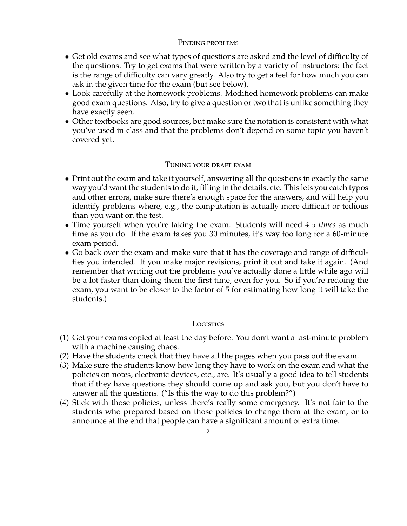### Finding problems

- Get old exams and see what types of questions are asked and the level of difficulty of the questions. Try to get exams that were written by a variety of instructors: the fact is the range of difficulty can vary greatly. Also try to get a feel for how much you can ask in the given time for the exam (but see below).
- Look carefully at the homework problems. Modified homework problems can make good exam questions. Also, try to give a question or two that is unlike something they have exactly seen.
- Other textbooks are good sources, but make sure the notation is consistent with what you've used in class and that the problems don't depend on some topic you haven't covered yet.

# Tuning your draft exam

- Print out the exam and take it yourself, answering all the questions in exactly the same way you'd want the students to do it, filling in the details, etc. This lets you catch typos and other errors, make sure there's enough space for the answers, and will help you identify problems where, e.g., the computation is actually more difficult or tedious than you want on the test.
- Time yourself when you're taking the exam. Students will need *4-5 times* as much time as you do. If the exam takes you 30 minutes, it's way too long for a 60-minute exam period.
- Go back over the exam and make sure that it has the coverage and range of difficulties you intended. If you make major revisions, print it out and take it again. (And remember that writing out the problems you've actually done a little while ago will be a lot faster than doing them the first time, even for you. So if you're redoing the exam, you want to be closer to the factor of 5 for estimating how long it will take the students.)

### **L**OGISTICS

- (1) Get your exams copied at least the day before. You don't want a last-minute problem with a machine causing chaos.
- (2) Have the students check that they have all the pages when you pass out the exam.
- (3) Make sure the students know how long they have to work on the exam and what the policies on notes, electronic devices, etc., are. It's usually a good idea to tell students that if they have questions they should come up and ask you, but you don't have to answer all the questions. ("Is this the way to do this problem?")
- (4) Stick with those policies, unless there's really some emergency. It's not fair to the students who prepared based on those policies to change them at the exam, or to announce at the end that people can have a significant amount of extra time.